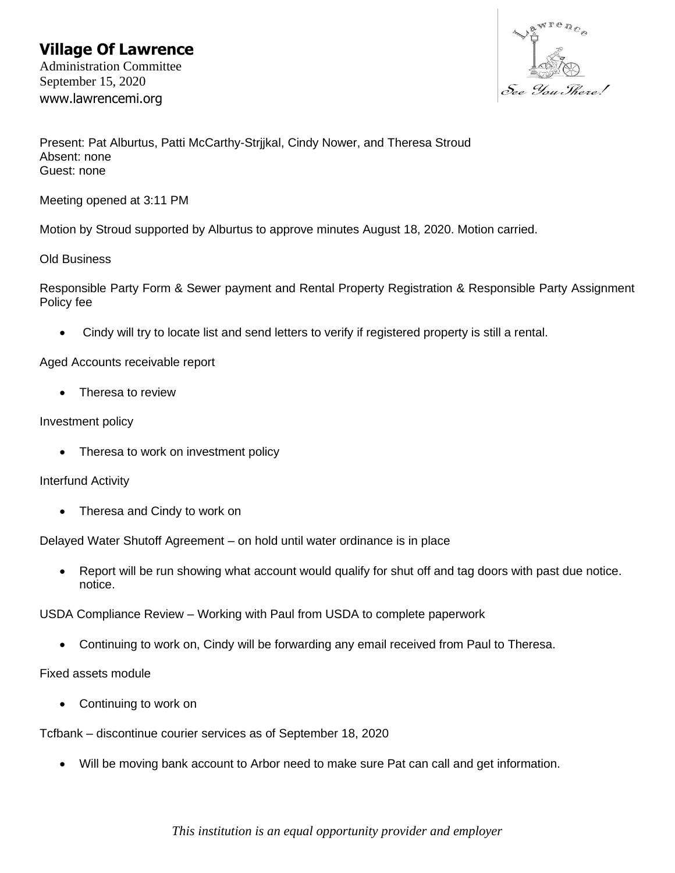## **Village Of Lawrence**

Administration Committee September 15, 2020 www.lawrencemi.org



Present: Pat Alburtus, Patti McCarthy-Strjjkal, Cindy Nower, and Theresa Stroud Absent: none Guest: none

Meeting opened at 3:11 PM

Motion by Stroud supported by Alburtus to approve minutes August 18, 2020. Motion carried.

Old Business

Responsible Party Form & Sewer payment and Rental Property Registration & Responsible Party Assignment Policy fee

• Cindy will try to locate list and send letters to verify if registered property is still a rental.

Aged Accounts receivable report

• Theresa to review

#### Investment policy

• Theresa to work on investment policy

Interfund Activity

• Theresa and Cindy to work on

Delayed Water Shutoff Agreement – on hold until water ordinance is in place

• Report will be run showing what account would qualify for shut off and tag doors with past due notice. notice.

USDA Compliance Review – Working with Paul from USDA to complete paperwork

• Continuing to work on, Cindy will be forwarding any email received from Paul to Theresa.

Fixed assets module

• Continuing to work on

Tcfbank – discontinue courier services as of September 18, 2020

• Will be moving bank account to Arbor need to make sure Pat can call and get information.

*This institution is an equal opportunity provider and employer*